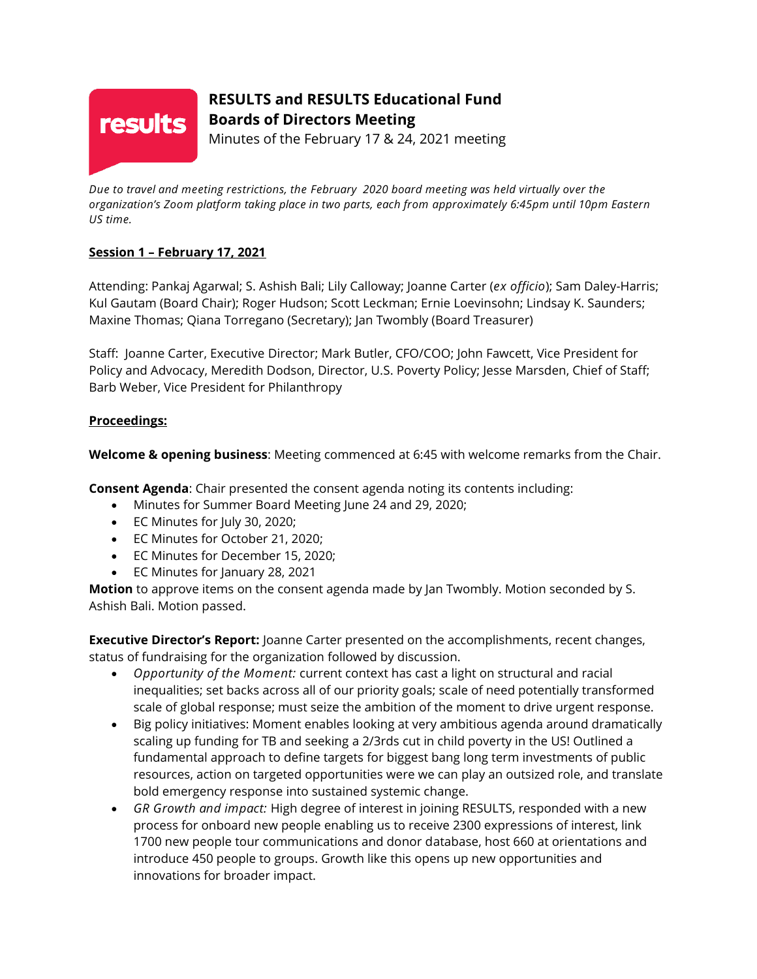

# **RESULTS and RESULTS Educational Fund Boards of Directors Meeting**

Minutes of the February 17 & 24, 2021 meeting

*Due to travel and meeting restrictions, the February 2020 board meeting was held virtually over the organization's Zoom platform taking place in two parts, each from approximately 6:45pm until 10pm Eastern US time.*

## **Session 1 – February 17, 2021**

Attending: Pankaj Agarwal; S. Ashish Bali; Lily Calloway; Joanne Carter (*ex officio*); Sam Daley-Harris; Kul Gautam (Board Chair); Roger Hudson; Scott Leckman; Ernie Loevinsohn; Lindsay K. Saunders; Maxine Thomas; Qiana Torregano (Secretary); Jan Twombly (Board Treasurer)

Staff: Joanne Carter, Executive Director; Mark Butler, CFO/COO; John Fawcett, Vice President for Policy and Advocacy, Meredith Dodson, Director, U.S. Poverty Policy; Jesse Marsden, Chief of Staff; Barb Weber, Vice President for Philanthropy

## **Proceedings:**

**Welcome & opening business**: Meeting commenced at 6:45 with welcome remarks from the Chair.

**Consent Agenda**: Chair presented the consent agenda noting its contents including:

- Minutes for Summer Board Meeting June 24 and 29, 2020;
- EC Minutes for July 30, 2020;
- EC Minutes for October 21, 2020;
- EC Minutes for December 15, 2020;
- EC Minutes for January 28, 2021

**Motion** to approve items on the consent agenda made by Jan Twombly. Motion seconded by S. Ashish Bali. Motion passed.

**Executive Director's Report:** Joanne Carter presented on the accomplishments, recent changes, status of fundraising for the organization followed by discussion.

- *Opportunity of the Moment:* current context has cast a light on structural and racial inequalities; set backs across all of our priority goals; scale of need potentially transformed scale of global response; must seize the ambition of the moment to drive urgent response.
- Big policy initiatives: Moment enables looking at very ambitious agenda around dramatically scaling up funding for TB and seeking a 2/3rds cut in child poverty in the US! Outlined a fundamental approach to define targets for biggest bang long term investments of public resources, action on targeted opportunities were we can play an outsized role, and translate bold emergency response into sustained systemic change.
- *GR Growth and impact:* High degree of interest in joining RESULTS, responded with a new process for onboard new people enabling us to receive 2300 expressions of interest, link 1700 new people tour communications and donor database, host 660 at orientations and introduce 450 people to groups. Growth like this opens up new opportunities and innovations for broader impact.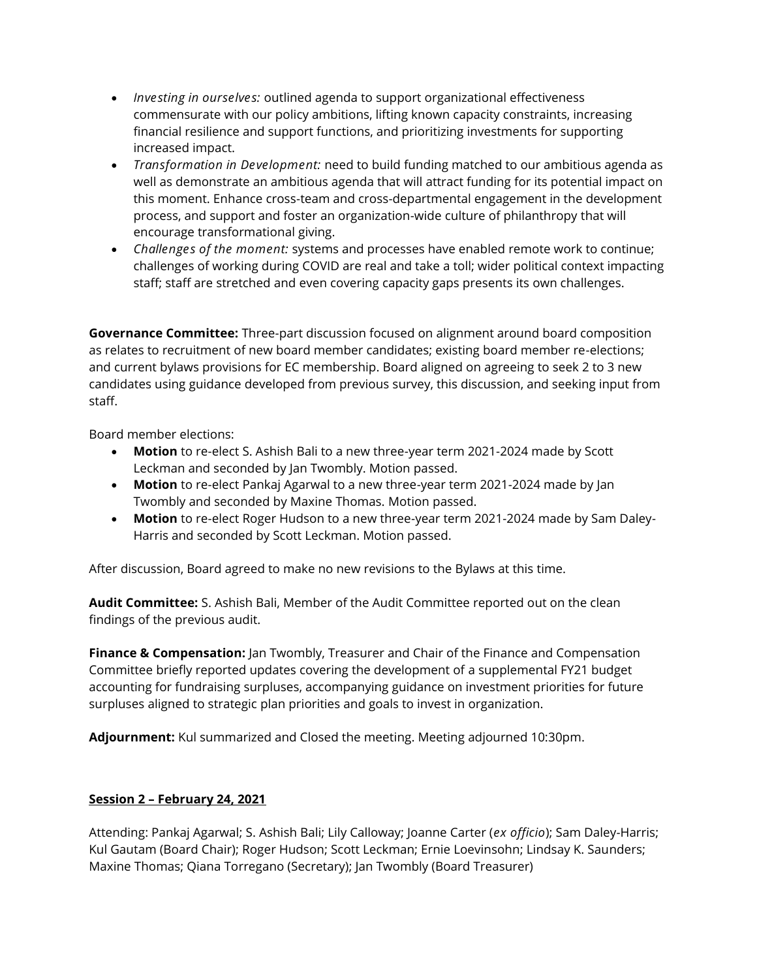- *Investing in ourselves:* outlined agenda to support organizational effectiveness commensurate with our policy ambitions, lifting known capacity constraints, increasing financial resilience and support functions, and prioritizing investments for supporting increased impact.
- *Transformation in Development:* need to build funding matched to our ambitious agenda as well as demonstrate an ambitious agenda that will attract funding for its potential impact on this moment. Enhance cross-team and cross-departmental engagement in the development process, and support and foster an organization-wide culture of philanthropy that will encourage transformational giving.
- *Challenges of the moment:* systems and processes have enabled remote work to continue; challenges of working during COVID are real and take a toll; wider political context impacting staff; staff are stretched and even covering capacity gaps presents its own challenges.

**Governance Committee:** Three-part discussion focused on alignment around board composition as relates to recruitment of new board member candidates; existing board member re-elections; and current bylaws provisions for EC membership. Board aligned on agreeing to seek 2 to 3 new candidates using guidance developed from previous survey, this discussion, and seeking input from staff.

Board member elections:

- **Motion** to re-elect S. Ashish Bali to a new three-year term 2021-2024 made by Scott Leckman and seconded by Jan Twombly. Motion passed.
- **Motion** to re-elect Pankaj Agarwal to a new three-year term 2021-2024 made by Jan Twombly and seconded by Maxine Thomas. Motion passed.
- **Motion** to re-elect Roger Hudson to a new three-year term 2021-2024 made by Sam Daley-Harris and seconded by Scott Leckman. Motion passed.

After discussion, Board agreed to make no new revisions to the Bylaws at this time.

**Audit Committee:** S. Ashish Bali, Member of the Audit Committee reported out on the clean findings of the previous audit.

**Finance & Compensation:** Jan Twombly, Treasurer and Chair of the Finance and Compensation Committee briefly reported updates covering the development of a supplemental FY21 budget accounting for fundraising surpluses, accompanying guidance on investment priorities for future surpluses aligned to strategic plan priorities and goals to invest in organization.

**Adjournment:** Kul summarized and Closed the meeting. Meeting adjourned 10:30pm.

### **Session 2 – February 24, 2021**

Attending: Pankaj Agarwal; S. Ashish Bali; Lily Calloway; Joanne Carter (*ex officio*); Sam Daley-Harris; Kul Gautam (Board Chair); Roger Hudson; Scott Leckman; Ernie Loevinsohn; Lindsay K. Saunders; Maxine Thomas; Qiana Torregano (Secretary); Jan Twombly (Board Treasurer)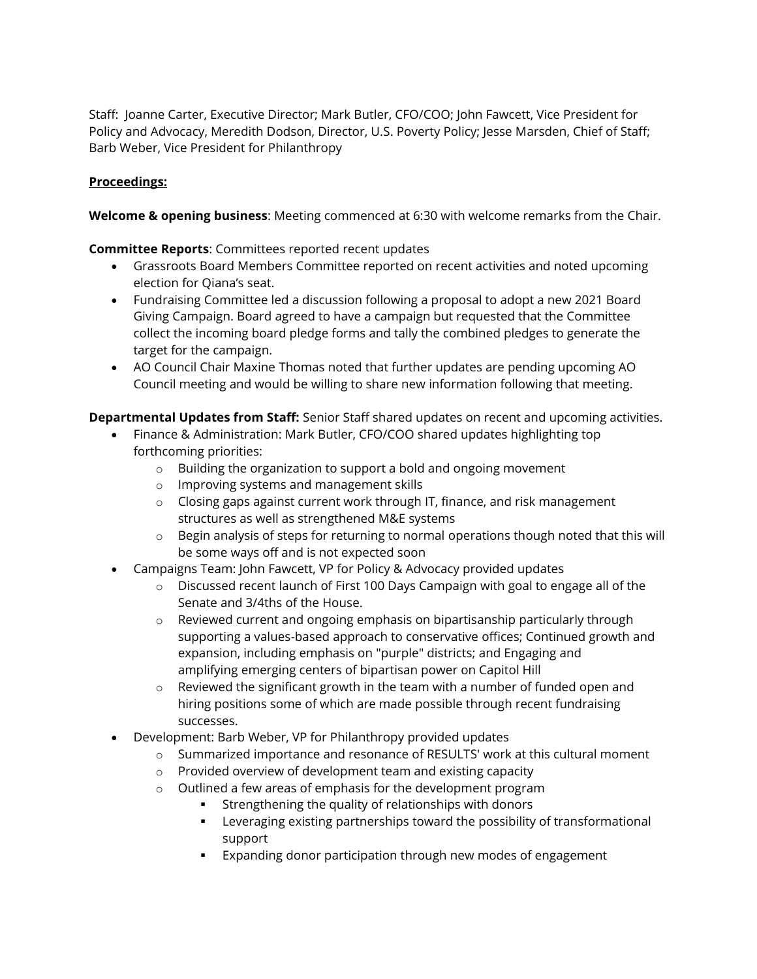Staff: Joanne Carter, Executive Director; Mark Butler, CFO/COO; John Fawcett, Vice President for Policy and Advocacy, Meredith Dodson, Director, U.S. Poverty Policy; Jesse Marsden, Chief of Staff; Barb Weber, Vice President for Philanthropy

## **Proceedings:**

**Welcome & opening business**: Meeting commenced at 6:30 with welcome remarks from the Chair.

#### **Committee Reports**: Committees reported recent updates

- Grassroots Board Members Committee reported on recent activities and noted upcoming election for Qiana's seat.
- Fundraising Committee led a discussion following a proposal to adopt a new 2021 Board Giving Campaign. Board agreed to have a campaign but requested that the Committee collect the incoming board pledge forms and tally the combined pledges to generate the target for the campaign.
- AO Council Chair Maxine Thomas noted that further updates are pending upcoming AO Council meeting and would be willing to share new information following that meeting.

### **Departmental Updates from Staff:** Senior Staff shared updates on recent and upcoming activities.

- Finance & Administration: Mark Butler, CFO/COO shared updates highlighting top forthcoming priorities:
	- o Building the organization to support a bold and ongoing movement
	- o Improving systems and management skills
	- o Closing gaps against current work through IT, finance, and risk management structures as well as strengthened M&E systems
	- o Begin analysis of steps for returning to normal operations though noted that this will be some ways off and is not expected soon
- Campaigns Team: John Fawcett, VP for Policy & Advocacy provided updates
	- $\circ$  Discussed recent launch of First 100 Days Campaign with goal to engage all of the Senate and 3/4ths of the House.
	- $\circ$  Reviewed current and ongoing emphasis on bipartisanship particularly through supporting a values-based approach to conservative offices; Continued growth and expansion, including emphasis on "purple" districts; and Engaging and amplifying emerging centers of bipartisan power on Capitol Hill
	- o Reviewed the significant growth in the team with a number of funded open and hiring positions some of which are made possible through recent fundraising successes.
- Development: Barb Weber, VP for Philanthropy provided updates
	- o Summarized importance and resonance of RESULTS' work at this cultural moment
	- o Provided overview of development team and existing capacity
	- o Outlined a few areas of emphasis for the development program
		- Strengthening the quality of relationships with donors
			- Leveraging existing partnerships toward the possibility of transformational support
			- Expanding donor participation through new modes of engagement